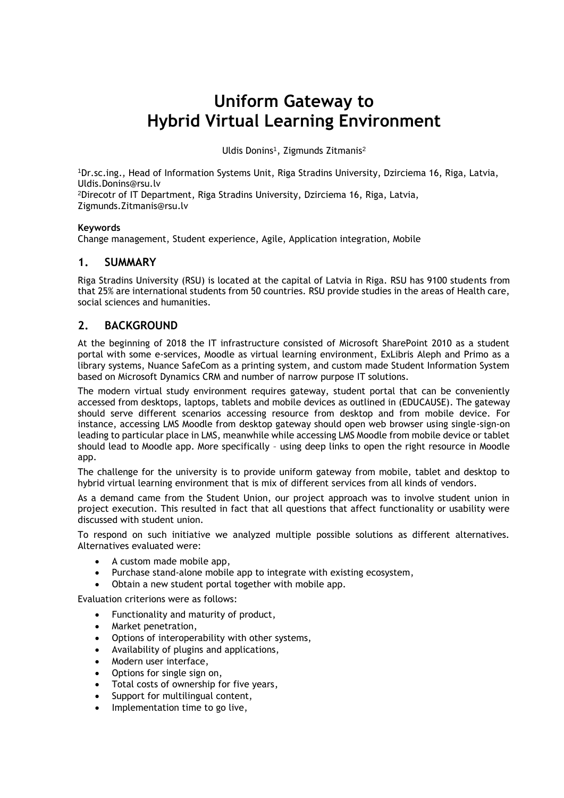# **Uniform Gateway to Hybrid Virtual Learning Environment**

Uldis Donins<sup>1</sup>, Zigmunds Zitmanis<sup>2</sup>

<sup>1</sup>Dr.sc.ing., Head of Information Systems Unit, Riga Stradins University, Dzirciema 16, Riga, Latvia, Uldis.Donins@rsu.lv

<sup>2</sup>Direcotr of IT Department, Riga Stradins University, Dzirciema 16, Riga, Latvia, Zigmunds.Zitmanis@rsu.lv

#### **Keywords**

Change management, Student experience, Agile, Application integration, Mobile

### **1. SUMMARY**

Riga Stradins University (RSU) is located at the capital of Latvia in Riga. RSU has 9100 students from that 25% are international students from 50 countries. RSU provide studies in the areas of Health care, social sciences and humanities.

## **2. BACKGROUND**

At the beginning of 2018 the IT infrastructure consisted of Microsoft SharePoint 2010 as a student portal with some e-services, Moodle as virtual learning environment, ExLibris Aleph and Primo as a library systems, Nuance SafeCom as a printing system, and custom made Student Information System based on Microsoft Dynamics CRM and number of narrow purpose IT solutions.

The modern virtual study environment requires gateway, student portal that can be conveniently accessed from desktops, laptops, tablets and mobile devices as outlined in (EDUCAUSE). The gateway should serve different scenarios accessing resource from desktop and from mobile device. For instance, accessing LMS Moodle from desktop gateway should open web browser using single-sign-on leading to particular place in LMS, meanwhile while accessing LMS Moodle from mobile device or tablet should lead to Moodle app. More specifically – using deep links to open the right resource in Moodle app.

The challenge for the university is to provide uniform gateway from mobile, tablet and desktop to hybrid virtual learning environment that is mix of different services from all kinds of vendors.

As a demand came from the Student Union, our project approach was to involve student union in project execution. This resulted in fact that all questions that affect functionality or usability were discussed with student union.

To respond on such initiative we analyzed multiple possible solutions as different alternatives. Alternatives evaluated were:

- A custom made mobile app,
- Purchase stand-alone mobile app to integrate with existing ecosystem,
- Obtain a new student portal together with mobile app.

Evaluation criterions were as follows:

- Functionality and maturity of product,
- Market penetration,
- Options of interoperability with other systems,
- Availability of plugins and applications,
- Modern user interface,
- Options for single sign on,
- Total costs of ownership for five years,
- Support for multilingual content,
- Implementation time to go live,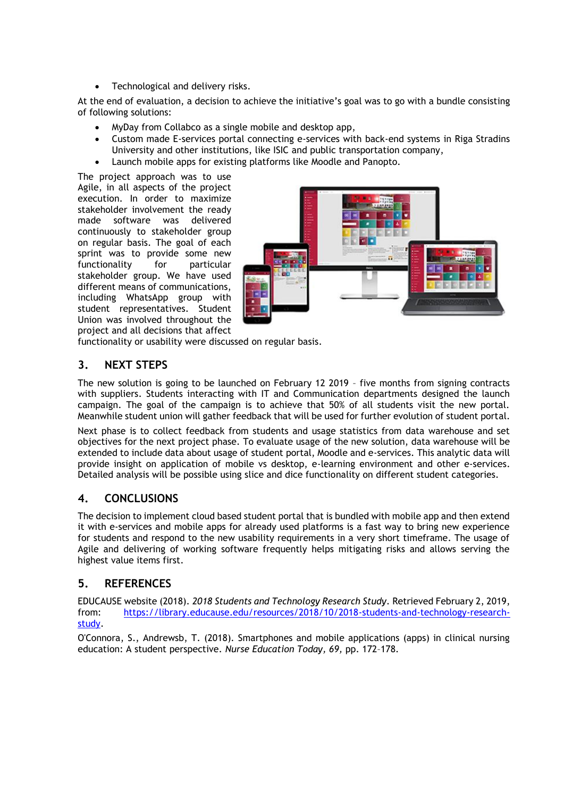Technological and delivery risks.

At the end of evaluation, a decision to achieve the initiative's goal was to go with a bundle consisting of following solutions:

- MyDay from Collabco as a single mobile and desktop app,
- Custom made E-services portal connecting e-services with back-end systems in Riga Stradins University and other institutions, like ISIC and public transportation company,
- Launch mobile apps for existing platforms like Moodle and Panopto.

The project approach was to use Agile, in all aspects of the project execution. In order to maximize stakeholder involvement the ready made software was delivered continuously to stakeholder group on regular basis. The goal of each sprint was to provide some new functionality for particular stakeholder group. We have used different means of communications, including WhatsApp group with student representatives. Student Union was involved throughout the project and all decisions that affect



functionality or usability were discussed on regular basis.

# **3. NEXT STEPS**

The new solution is going to be launched on February 12 2019 – five months from signing contracts with suppliers. Students interacting with IT and Communication departments designed the launch campaign. The goal of the campaign is to achieve that 50% of all students visit the new portal. Meanwhile student union will gather feedback that will be used for further evolution of student portal.

Next phase is to collect feedback from students and usage statistics from data warehouse and set objectives for the next project phase. To evaluate usage of the new solution, data warehouse will be extended to include data about usage of student portal, Moodle and e-services. This analytic data will provide insight on application of mobile vs desktop, e-learning environment and other e-services. Detailed analysis will be possible using slice and dice functionality on different student categories.

# **4. CONCLUSIONS**

The decision to implement cloud based student portal that is bundled with mobile app and then extend it with e-services and mobile apps for already used platforms is a fast way to bring new experience for students and respond to the new usability requirements in a very short timeframe. The usage of Agile and delivering of working software frequently helps mitigating risks and allows serving the highest value items first.

# **5. REFERENCES**

EDUCAUSE website (2018). *2018 Students and Technology Research Study.* Retrieved February 2, 2019, from: [https://library.educause.edu/resources/2018/10/2018-students-and-technology-research](https://library.educause.edu/resources/2018/10/2018-students-and-technology-research-study)[study.](https://library.educause.edu/resources/2018/10/2018-students-and-technology-research-study)

O'Connora, S., Andrewsb, T. (2018). Smartphones and mobile applications (apps) in clinical nursing education: A student perspective. *Nurse Education Today, 69,* pp. 172–178.